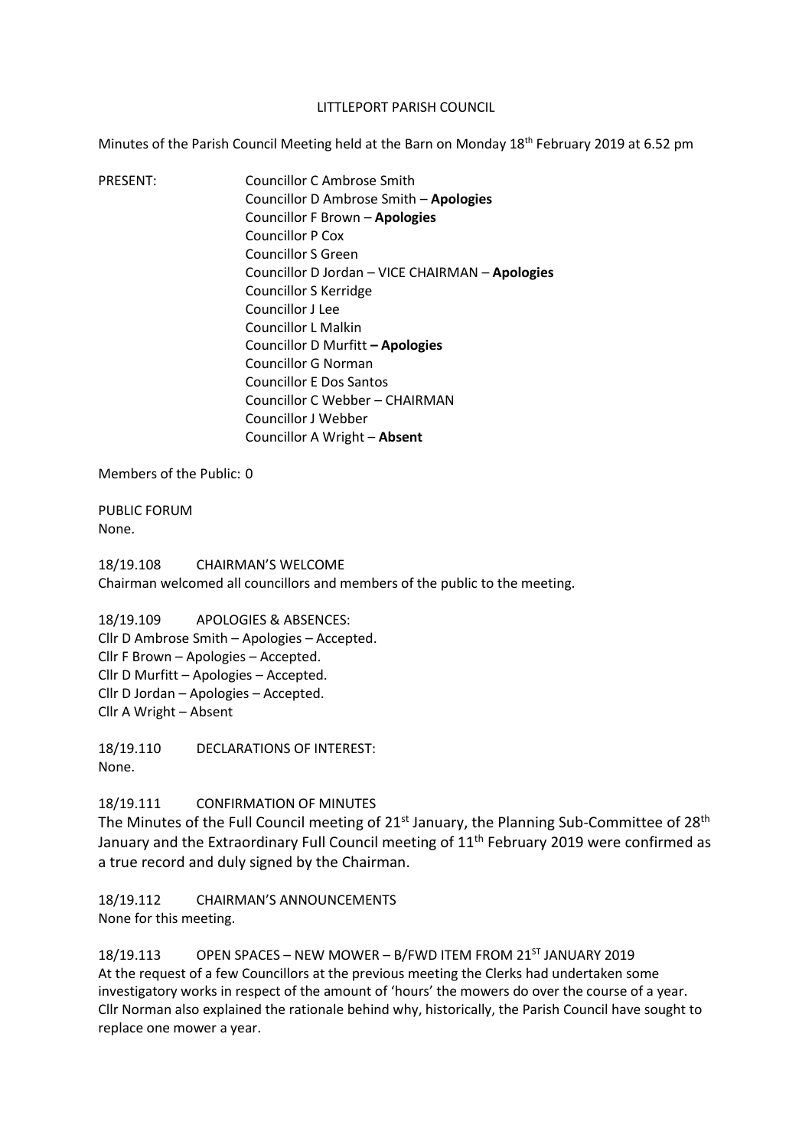#### LITTLEPORT PARISH COUNCIL

Minutes of the Parish Council Meeting held at the Barn on Monday 18<sup>th</sup> February 2019 at 6.52 pm

PRESENT: Councillor C Ambrose Smith Councillor D Ambrose Smith – **Apologies** Councillor F Brown – **Apologies** Councillor P Cox Councillor S Green Councillor D Jordan – VICE CHAIRMAN – **Apologies** Councillor S Kerridge Councillor J Lee Councillor L Malkin Councillor D Murfitt **– Apologies** Councillor G Norman Councillor E Dos Santos Councillor C Webber – CHAIRMAN Councillor J Webber Councillor A Wright – **Absent**

Members of the Public: 0

PUBLIC FORUM None.

18/19.108 CHAIRMAN'S WELCOME Chairman welcomed all councillors and members of the public to the meeting.

18/19.109 APOLOGIES & ABSENCES: Cllr D Ambrose Smith – Apologies – Accepted. Cllr F Brown – Apologies – Accepted. Cllr D Murfitt – Apologies – Accepted. Cllr D Jordan – Apologies – Accepted. Cllr A Wright – Absent

18/19.110 DECLARATIONS OF INTEREST: None.

18/19.111 CONFIRMATION OF MINUTES

The Minutes of the Full Council meeting of  $21^{st}$  January, the Planning Sub-Committee of  $28^{th}$ January and the Extraordinary Full Council meeting of 11<sup>th</sup> February 2019 were confirmed as a true record and duly signed by the Chairman.

18/19.112 CHAIRMAN'S ANNOUNCEMENTS None for this meeting.

18/19.113 OPEN SPACES - NEW MOWER - B/FWD ITEM FROM 21<sup>ST</sup> JANUARY 2019 At the request of a few Councillors at the previous meeting the Clerks had undertaken some investigatory works in respect of the amount of 'hours' the mowers do over the course of a year. Cllr Norman also explained the rationale behind why, historically, the Parish Council have sought to replace one mower a year.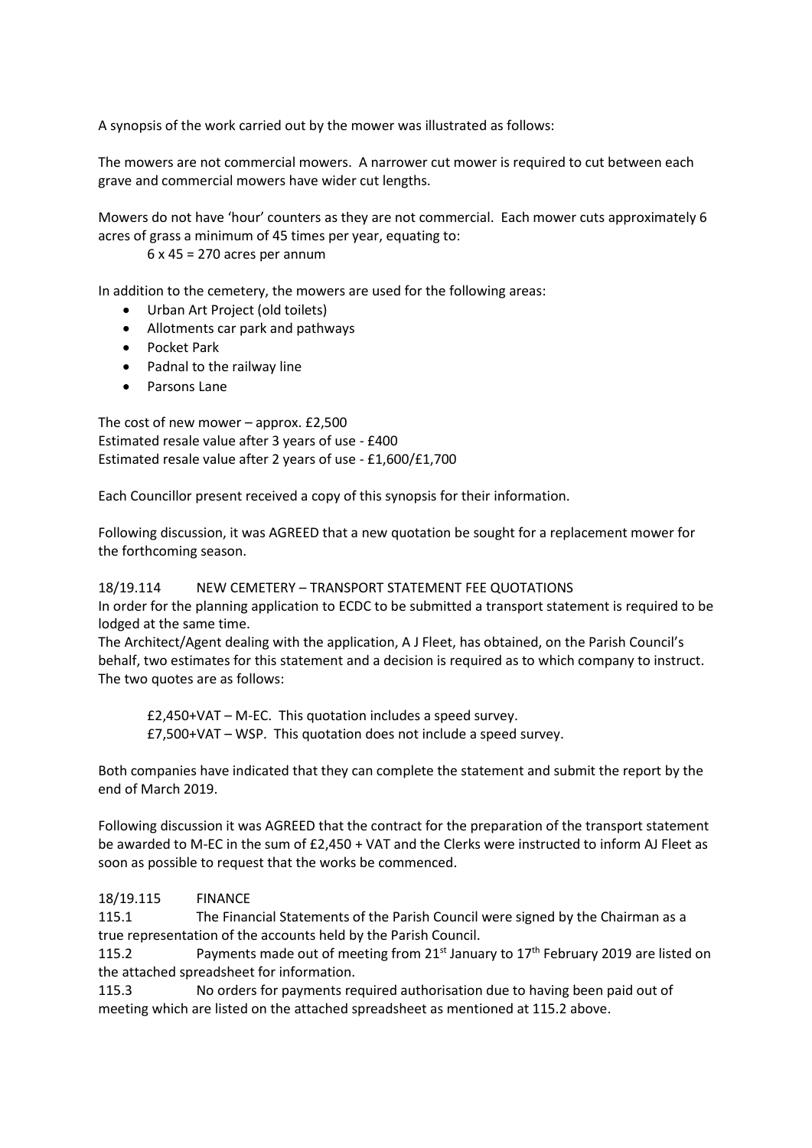A synopsis of the work carried out by the mower was illustrated as follows:

The mowers are not commercial mowers. A narrower cut mower is required to cut between each grave and commercial mowers have wider cut lengths.

Mowers do not have 'hour' counters as they are not commercial. Each mower cuts approximately 6 acres of grass a minimum of 45 times per year, equating to:

 $6 \times 45 = 270$  acres per annum

In addition to the cemetery, the mowers are used for the following areas:

- Urban Art Project (old toilets)
- Allotments car park and pathways
- Pocket Park
- Padnal to the railway line
- Parsons Lane

The cost of new mower – approx. £2,500 Estimated resale value after 3 years of use - £400 Estimated resale value after 2 years of use - £1,600/£1,700

Each Councillor present received a copy of this synopsis for their information.

Following discussion, it was AGREED that a new quotation be sought for a replacement mower for the forthcoming season.

# 18/19.114 NEW CEMETERY – TRANSPORT STATEMENT FEE QUOTATIONS

In order for the planning application to ECDC to be submitted a transport statement is required to be lodged at the same time.

The Architect/Agent dealing with the application, A J Fleet, has obtained, on the Parish Council's behalf, two estimates for this statement and a decision is required as to which company to instruct. The two quotes are as follows:

£2,450+VAT – M-EC. This quotation includes a speed survey. £7,500+VAT – WSP. This quotation does not include a speed survey.

Both companies have indicated that they can complete the statement and submit the report by the end of March 2019.

Following discussion it was AGREED that the contract for the preparation of the transport statement be awarded to M-EC in the sum of £2,450 + VAT and the Clerks were instructed to inform AJ Fleet as soon as possible to request that the works be commenced.

# 18/19.115 FINANCE

115.1 The Financial Statements of the Parish Council were signed by the Chairman as a true representation of the accounts held by the Parish Council.

115.2 Payments made out of meeting from 21<sup>st</sup> January to 17<sup>th</sup> February 2019 are listed on the attached spreadsheet for information.

115.3 No orders for payments required authorisation due to having been paid out of meeting which are listed on the attached spreadsheet as mentioned at 115.2 above.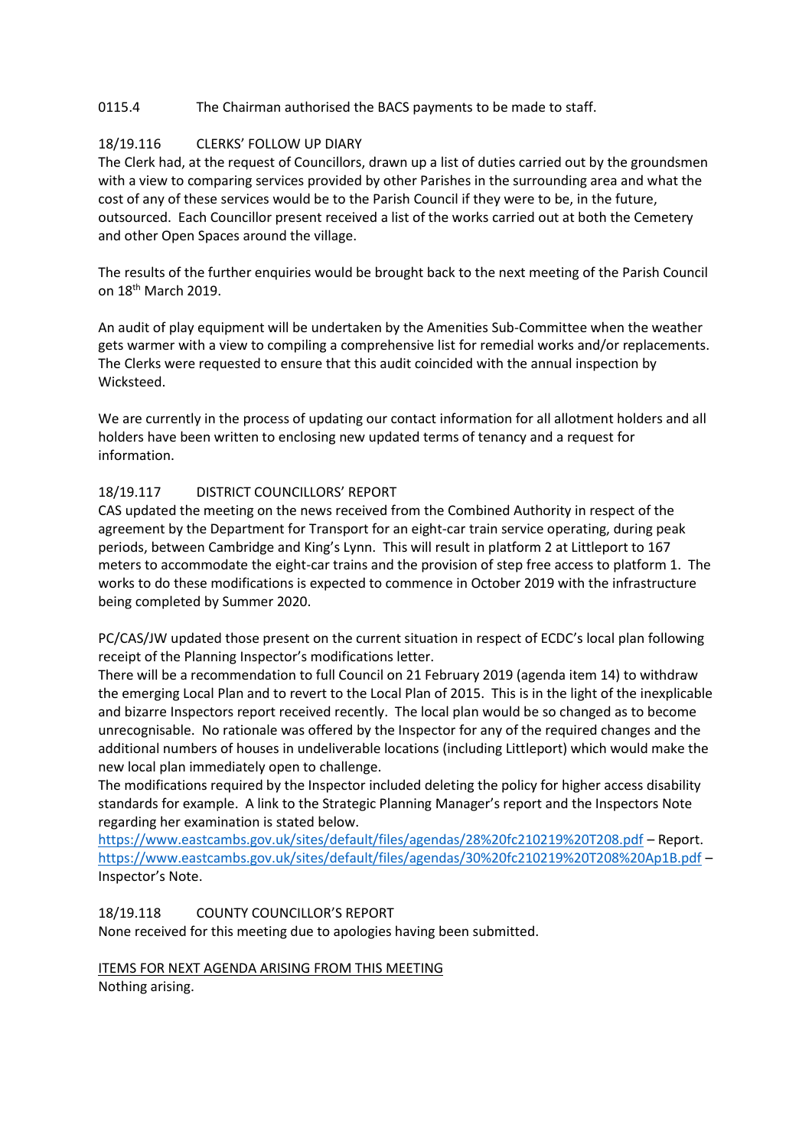## 0115.4 The Chairman authorised the BACS payments to be made to staff.

# 18/19.116 CLERKS' FOLLOW UP DIARY

The Clerk had, at the request of Councillors, drawn up a list of duties carried out by the groundsmen with a view to comparing services provided by other Parishes in the surrounding area and what the cost of any of these services would be to the Parish Council if they were to be, in the future, outsourced. Each Councillor present received a list of the works carried out at both the Cemetery and other Open Spaces around the village.

The results of the further enquiries would be brought back to the next meeting of the Parish Council on 18th March 2019.

An audit of play equipment will be undertaken by the Amenities Sub-Committee when the weather gets warmer with a view to compiling a comprehensive list for remedial works and/or replacements. The Clerks were requested to ensure that this audit coincided with the annual inspection by Wicksteed.

We are currently in the process of updating our contact information for all allotment holders and all holders have been written to enclosing new updated terms of tenancy and a request for information.

### 18/19.117 DISTRICT COUNCILLORS' REPORT

CAS updated the meeting on the news received from the Combined Authority in respect of the agreement by the Department for Transport for an eight-car train service operating, during peak periods, between Cambridge and King's Lynn. This will result in platform 2 at Littleport to 167 meters to accommodate the eight-car trains and the provision of step free access to platform 1. The works to do these modifications is expected to commence in October 2019 with the infrastructure being completed by Summer 2020.

PC/CAS/JW updated those present on the current situation in respect of ECDC's local plan following receipt of the Planning Inspector's modifications letter.

There will be a recommendation to full Council on 21 February 2019 (agenda item 14) to withdraw the emerging Local Plan and to revert to the Local Plan of 2015. This is in the light of the inexplicable and bizarre Inspectors report received recently. The local plan would be so changed as to become unrecognisable. No rationale was offered by the Inspector for any of the required changes and the additional numbers of houses in undeliverable locations (including Littleport) which would make the new local plan immediately open to challenge.

The modifications required by the Inspector included deleting the policy for higher access disability standards for example. A link to the Strategic Planning Manager's report and the Inspectors Note regarding her examination is stated below.

<https://www.eastcambs.gov.uk/sites/default/files/agendas/28%20fc210219%20T208.pdf> – Report. <https://www.eastcambs.gov.uk/sites/default/files/agendas/30%20fc210219%20T208%20Ap1B.pdf> – Inspector's Note.

### 18/19.118 COUNTY COUNCILLOR'S REPORT

None received for this meeting due to apologies having been submitted.

### ITEMS FOR NEXT AGENDA ARISING FROM THIS MEETING

Nothing arising.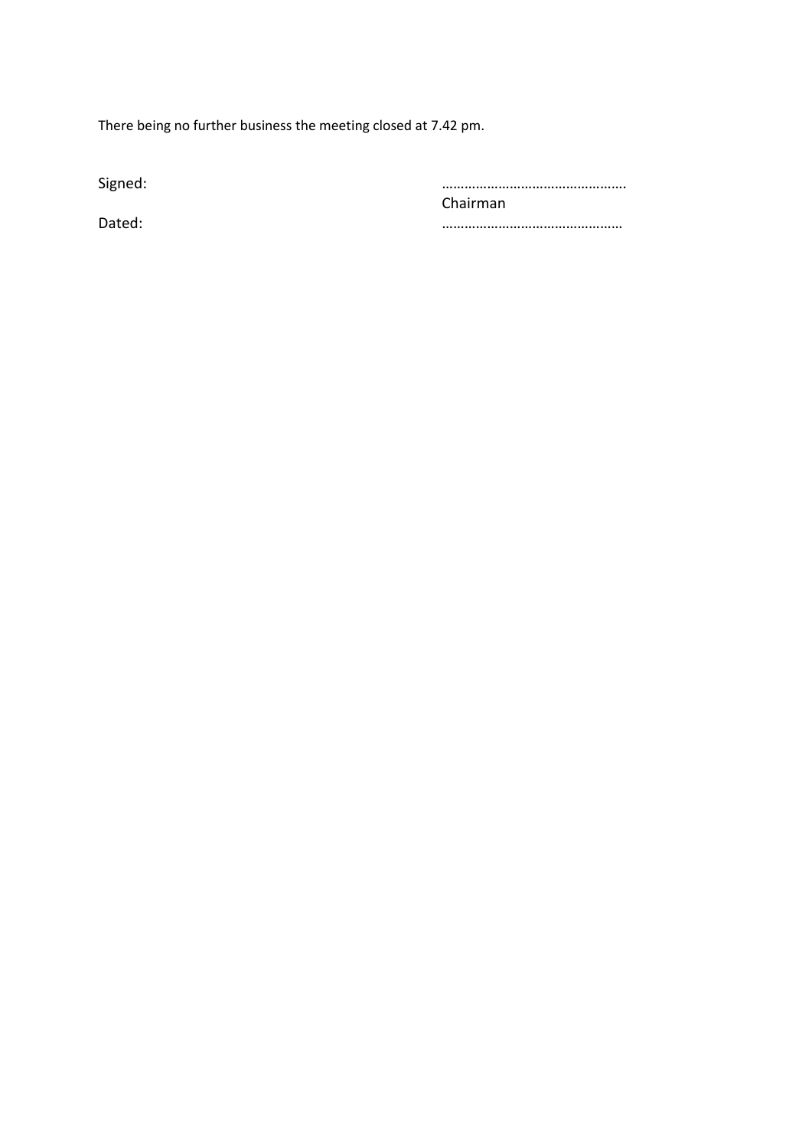There being no further business the meeting closed at 7.42 pm.

Signed: …………………………………………. Chairman Dated: …………………………………………